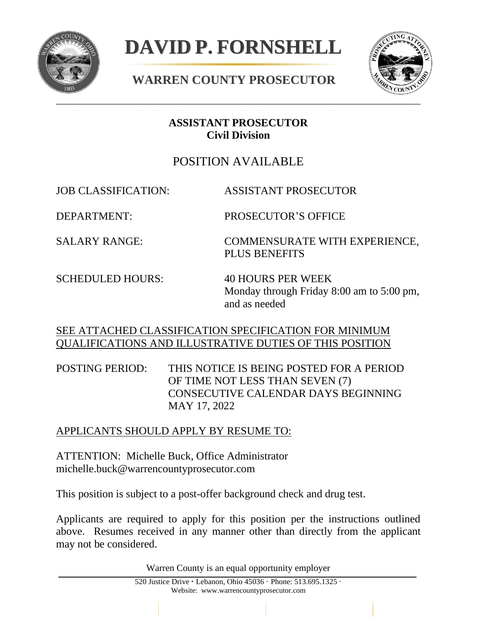

# **DAVID P. FORNSHELL FORNSHELL**



## **WARREN COUNTY PROSECUTOR**

## **ASSISTANT PROSECUTOR Civil Division**

## POSITION AVAILABLE

JOB CLASSIFICATION: ASSISTANT PROSECUTOR

DEPARTMENT: PROSECUTOR'S OFFICE

SALARY RANGE: COMMENSURATE WITH EXPERIENCE, PLUS BENEFITS

SCHEDULED HOURS: 40 HOURS PER WEEK

Monday through Friday 8:00 am to 5:00 pm, and as needed

## SEE ATTACHED CLASSIFICATION SPECIFICATION FOR MINIMUM QUALIFICATIONS AND ILLUSTRATIVE DUTIES OF THIS POSITION

POSTING PERIOD: THIS NOTICE IS BEING POSTED FOR A PERIOD OF TIME NOT LESS THAN SEVEN (7) CONSECUTIVE CALENDAR DAYS BEGINNING MAY 17, 2022

## APPLICANTS SHOULD APPLY BY RESUME TO:

ATTENTION: Michelle Buck, Office Administrator michelle.buck@warrencountyprosecutor.com

This position is subject to a post-offer background check and drug test.

Applicants are required to apply for this position per the instructions outlined above. Resumes received in any manner other than directly from the applicant may not be considered.

Warren County is an equal opportunity employer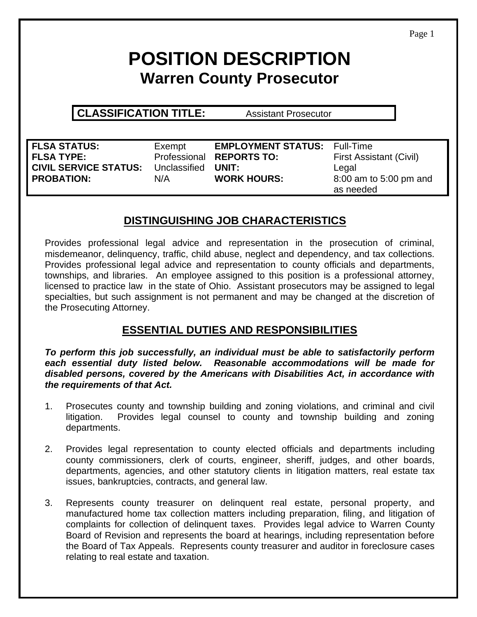## **POSITION DESCRIPTION Warren County Prosecutor**

**CLASSIFICATION TITLE:** Assistant Prosecutor

**FLSA STATUS: FLSA TYPE: CIVIL SERVICE STATUS: PROBATION:**

Exempt Professional **REPORTS TO:** Unclassified **UNIT:** N/A

**EMPLOYMENT STATUS:** Full-Time **WORK HOURS:**

First Assistant (Civil) Legal 8:00 am to 5:00 pm and as needed

## **DISTINGUISHING JOB CHARACTERISTICS**

Provides professional legal advice and representation in the prosecution of criminal, misdemeanor, delinquency, traffic, child abuse, neglect and dependency, and tax collections. Provides professional legal advice and representation to county officials and departments, townships, and libraries. An employee assigned to this position is a professional attorney, licensed to practice law in the state of Ohio. Assistant prosecutors may be assigned to legal specialties, but such assignment is not permanent and may be changed at the discretion of the Prosecuting Attorney.

## **ESSENTIAL DUTIES AND RESPONSIBILITIES**

*To perform this job successfully, an individual must be able to satisfactorily perform each essential duty listed below. Reasonable accommodations will be made for disabled persons, covered by the Americans with Disabilities Act, in accordance with the requirements of that Act.*

- 1. Prosecutes county and township building and zoning violations, and criminal and civil litigation. Provides legal counsel to county and township building and zoning departments.
- 2. Provides legal representation to county elected officials and departments including county commissioners, clerk of courts, engineer, sheriff, judges, and other boards, departments, agencies, and other statutory clients in litigation matters, real estate tax issues, bankruptcies, contracts, and general law.
- 3. Represents county treasurer on delinquent real estate, personal property, and manufactured home tax collection matters including preparation, filing, and litigation of complaints for collection of delinquent taxes. Provides legal advice to Warren County Board of Revision and represents the board at hearings, including representation before the Board of Tax Appeals. Represents county treasurer and auditor in foreclosure cases relating to real estate and taxation.

Page 1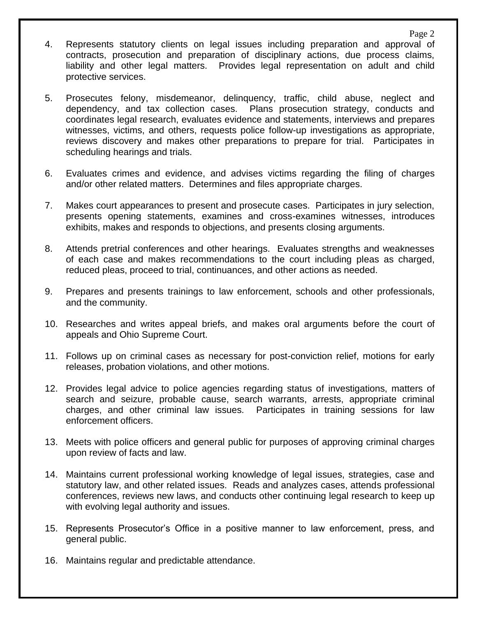- 4. Represents statutory clients on legal issues including preparation and approval of contracts, prosecution and preparation of disciplinary actions, due process claims, liability and other legal matters. Provides legal representation on adult and child protective services.
- 5. Prosecutes felony, misdemeanor, delinquency, traffic, child abuse, neglect and dependency, and tax collection cases. Plans prosecution strategy, conducts and coordinates legal research, evaluates evidence and statements, interviews and prepares witnesses, victims, and others, requests police follow-up investigations as appropriate, reviews discovery and makes other preparations to prepare for trial. Participates in scheduling hearings and trials.
- 6. Evaluates crimes and evidence, and advises victims regarding the filing of charges and/or other related matters. Determines and files appropriate charges.
- 7. Makes court appearances to present and prosecute cases. Participates in jury selection, presents opening statements, examines and cross-examines witnesses, introduces exhibits, makes and responds to objections, and presents closing arguments.
- 8. Attends pretrial conferences and other hearings. Evaluates strengths and weaknesses of each case and makes recommendations to the court including pleas as charged, reduced pleas, proceed to trial, continuances, and other actions as needed.
- 9. Prepares and presents trainings to law enforcement, schools and other professionals, and the community.
- 10. Researches and writes appeal briefs, and makes oral arguments before the court of appeals and Ohio Supreme Court.
- 11. Follows up on criminal cases as necessary for post-conviction relief, motions for early releases, probation violations, and other motions.
- 12. Provides legal advice to police agencies regarding status of investigations, matters of search and seizure, probable cause, search warrants, arrests, appropriate criminal charges, and other criminal law issues. Participates in training sessions for law enforcement officers.
- 13. Meets with police officers and general public for purposes of approving criminal charges upon review of facts and law.
- 14. Maintains current professional working knowledge of legal issues, strategies, case and statutory law, and other related issues. Reads and analyzes cases, attends professional conferences, reviews new laws, and conducts other continuing legal research to keep up with evolving legal authority and issues.
- 15. Represents Prosecutor's Office in a positive manner to law enforcement, press, and general public.
- 16. Maintains regular and predictable attendance.

#### Page 2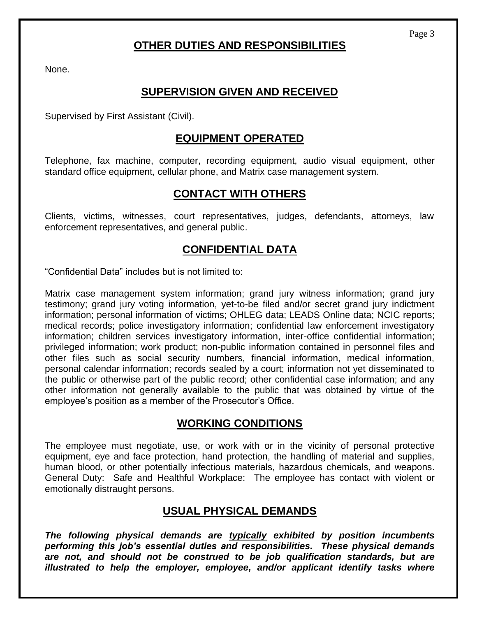### **OTHER DUTIES AND RESPONSIBILITIES**

None.

#### **SUPERVISION GIVEN AND RECEIVED**

Supervised by First Assistant (Civil).

#### **EQUIPMENT OPERATED**

Telephone, fax machine, computer, recording equipment, audio visual equipment, other standard office equipment, cellular phone, and Matrix case management system.

#### **CONTACT WITH OTHERS**

Clients, victims, witnesses, court representatives, judges, defendants, attorneys, law enforcement representatives, and general public.

#### **CONFIDENTIAL DATA**

"Confidential Data" includes but is not limited to:

Matrix case management system information; grand jury witness information; grand jury testimony; grand jury voting information, yet-to-be filed and/or secret grand jury indictment information; personal information of victims; OHLEG data; LEADS Online data; NCIC reports; medical records; police investigatory information; confidential law enforcement investigatory information; children services investigatory information, inter-office confidential information; privileged information; work product; non-public information contained in personnel files and other files such as social security numbers, financial information, medical information, personal calendar information; records sealed by a court; information not yet disseminated to the public or otherwise part of the public record; other confidential case information; and any other information not generally available to the public that was obtained by virtue of the employee's position as a member of the Prosecutor's Office.

#### **WORKING CONDITIONS**

The employee must negotiate, use, or work with or in the vicinity of personal protective equipment, eye and face protection, hand protection, the handling of material and supplies, human blood, or other potentially infectious materials, hazardous chemicals, and weapons. General Duty: Safe and Healthful Workplace: The employee has contact with violent or emotionally distraught persons.

#### **USUAL PHYSICAL DEMANDS**

*The following physical demands are typically exhibited by position incumbents performing this job's essential duties and responsibilities. These physical demands are not, and should not be construed to be job qualification standards, but are illustrated to help the employer, employee, and/or applicant identify tasks where*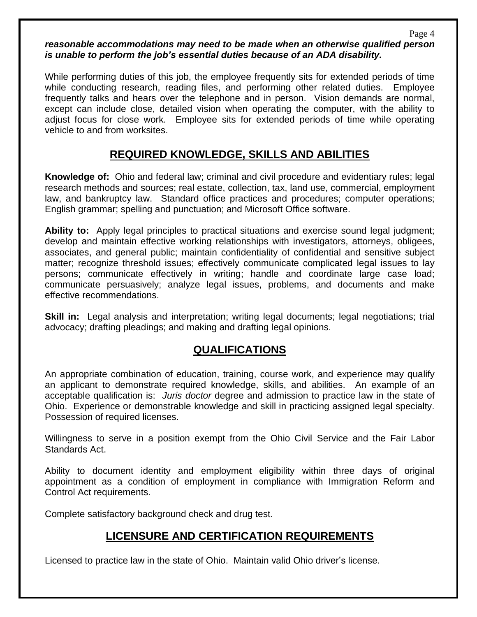#### *reasonable accommodations may need to be made when an otherwise qualified person is unable to perform the job's essential duties because of an ADA disability.*

Page 4

While performing duties of this job, the employee frequently sits for extended periods of time while conducting research, reading files, and performing other related duties. Employee frequently talks and hears over the telephone and in person. Vision demands are normal, except can include close, detailed vision when operating the computer, with the ability to adjust focus for close work. Employee sits for extended periods of time while operating vehicle to and from worksites.

#### **REQUIRED KNOWLEDGE, SKILLS AND ABILITIES**

**Knowledge of:** Ohio and federal law; criminal and civil procedure and evidentiary rules; legal research methods and sources; real estate, collection, tax, land use, commercial, employment law, and bankruptcy law. Standard office practices and procedures; computer operations; English grammar; spelling and punctuation; and Microsoft Office software.

**Ability to:** Apply legal principles to practical situations and exercise sound legal judgment; develop and maintain effective working relationships with investigators, attorneys, obligees, associates, and general public; maintain confidentiality of confidential and sensitive subject matter; recognize threshold issues; effectively communicate complicated legal issues to lay persons; communicate effectively in writing; handle and coordinate large case load; communicate persuasively; analyze legal issues, problems, and documents and make effective recommendations.

**Skill in:** Legal analysis and interpretation; writing legal documents; legal negotiations; trial advocacy; drafting pleadings; and making and drafting legal opinions.

#### **QUALIFICATIONS**

An appropriate combination of education, training, course work, and experience may qualify an applicant to demonstrate required knowledge, skills, and abilities. An example of an acceptable qualification is: *Juris doctor* degree and admission to practice law in the state of Ohio. Experience or demonstrable knowledge and skill in practicing assigned legal specialty. Possession of required licenses.

Willingness to serve in a position exempt from the Ohio Civil Service and the Fair Labor Standards Act.

Ability to document identity and employment eligibility within three days of original appointment as a condition of employment in compliance with Immigration Reform and Control Act requirements.

Complete satisfactory background check and drug test.

#### **LICENSURE AND CERTIFICATION REQUIREMENTS**

Licensed to practice law in the state of Ohio. Maintain valid Ohio driver's license.